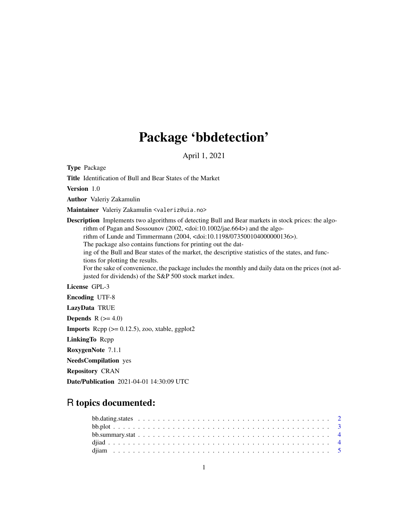## Package 'bbdetection'

April 1, 2021

Type Package

Title Identification of Bull and Bear States of the Market

Version 1.0

Author Valeriy Zakamulin

Maintainer Valeriy Zakamulin <valeriz@uia.no>

Description Implements two algorithms of detecting Bull and Bear markets in stock prices: the algorithm of Pagan and Sossounov (2002, <doi:10.1002/jae.664>) and the algorithm of Lunde and Timmermann (2004, <doi:10.1198/073500104000000136>). The package also contains functions for printing out the dating of the Bull and Bear states of the market, the descriptive statistics of the states, and func-

tions for plotting the results. For the sake of convenience, the package includes the monthly and daily data on the prices (not ad-

justed for dividends) of the S&P 500 stock market index.

License GPL-3

Encoding UTF-8

LazyData TRUE

**Depends**  $R$  ( $>= 4.0$ )

**Imports** Rcpp  $(>= 0.12.5)$ , zoo, xtable, ggplot2

LinkingTo Rcpp

RoxygenNote 7.1.1

NeedsCompilation yes

Repository CRAN

Date/Publication 2021-04-01 14:30:09 UTC

### R topics documented: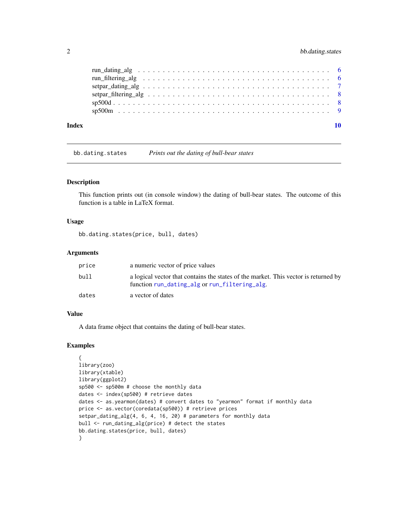#### <span id="page-1-0"></span>2 bb.dating.states

| Index |  |
|-------|--|
|       |  |
|       |  |
|       |  |
|       |  |
|       |  |
|       |  |

bb.dating.states *Prints out the dating of bull-bear states*

#### Description

This function prints out (in console window) the dating of bull-bear states. The outcome of this function is a table in LaTeX format.

#### Usage

bb.dating.states(price, bull, dates)

#### Arguments

| price | a numeric vector of price values                                                                                                     |
|-------|--------------------------------------------------------------------------------------------------------------------------------------|
| bull  | a logical vector that contains the states of the market. This vector is returned by<br>function run_dating_alg or run_filtering_alg. |
| dates | a vector of dates                                                                                                                    |

#### Value

A data frame object that contains the dating of bull-bear states.

#### Examples

```
{
library(zoo)
library(xtable)
library(ggplot2)
sp500 <- sp500m # choose the monthly data
dates <- index(sp500) # retrieve dates
dates <- as.yearmon(dates) # convert dates to "yearmon" format if monthly data
price <- as.vector(coredata(sp500)) # retrieve prices
setpar_dating_alg(4, 6, 4, 16, 20) # parameters for monthly data
bull <- run_dating_alg(price) # detect the states
bb.dating.states(price, bull, dates)
}
```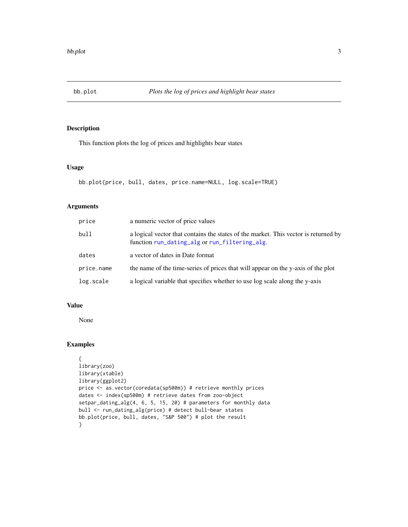<span id="page-2-0"></span>

#### Description

This function plots the log of prices and highlights bear states

#### Usage

```
bb.plot(price, bull, dates, price.name=NULL, log.scale=TRUE)
```
#### Arguments

| price      | a numeric vector of price values                                                                                                     |
|------------|--------------------------------------------------------------------------------------------------------------------------------------|
| bull       | a logical vector that contains the states of the market. This vector is returned by<br>function run_dating_alg or run_filtering_alg. |
| dates      | a vector of dates in Date format                                                                                                     |
| price.name | the name of the time-series of prices that will appear on the y-axis of the plot                                                     |
| log.scale  | a logical variable that specifies whether to use log scale along the y-axis                                                          |

#### Value

None

#### Examples

```
{
library(zoo)
library(xtable)
library(ggplot2)
price <- as.vector(coredata(sp500m)) # retrieve monthly prices
dates <- index(sp500m) # retrieve dates from zoo-object
setpar_dating_alg(4, 6, 5, 15, 20) # parameters for monthly data
bull <- run_dating_alg(price) # detect bull-bear states
bb.plot(price, bull, dates, "S&P 500") # plot the result
}
```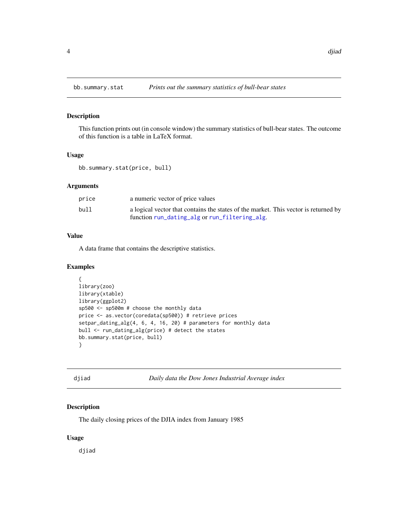<span id="page-3-0"></span>

#### Description

This function prints out (in console window) the summary statistics of bull-bear states. The outcome of this function is a table in LaTeX format.

#### Usage

bb.summary.stat(price, bull)

#### Arguments

| price | a numeric vector of price values                                                    |
|-------|-------------------------------------------------------------------------------------|
| bull  | a logical vector that contains the states of the market. This vector is returned by |
|       | function run_dating_alg or run_filtering_alg.                                       |

#### Value

A data frame that contains the descriptive statistics.

#### Examples

```
{
library(zoo)
library(xtable)
library(ggplot2)
sp500 <- sp500m # choose the monthly data
price <- as.vector(coredata(sp500)) # retrieve prices
setpar_dating_alg(4, 6, 4, 16, 20) # parameters for monthly data
bull <- run_dating_alg(price) # detect the states
bb.summary.stat(price, bull)
}
```
<span id="page-3-1"></span>djiad *Daily data the Dow Jones Industrial Average index*

#### Description

The daily closing prices of the DJIA index from January 1985

#### Usage

djiad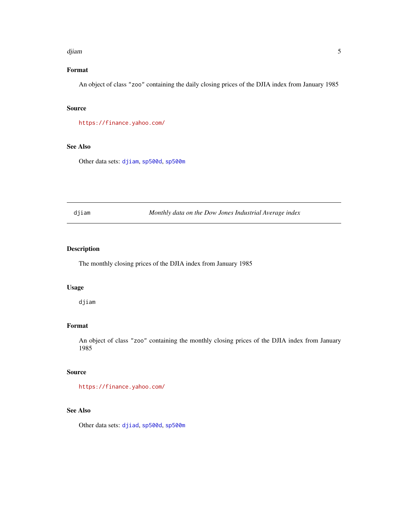#### <span id="page-4-0"></span>djiam 5

#### Format

An object of class "zoo" containing the daily closing prices of the DJIA index from January 1985

#### Source

<https://finance.yahoo.com/>

#### See Also

Other data sets: [djiam](#page-4-1), [sp500d](#page-7-1), [sp500m](#page-8-1)

<span id="page-4-1"></span>djiam *Monthly data on the Dow Jones Industrial Average index*

#### Description

The monthly closing prices of the DJIA index from January 1985

#### Usage

djiam

#### Format

An object of class "zoo" containing the monthly closing prices of the DJIA index from January 1985

#### Source

<https://finance.yahoo.com/>

#### See Also

Other data sets: [djiad](#page-3-1), [sp500d](#page-7-1), [sp500m](#page-8-1)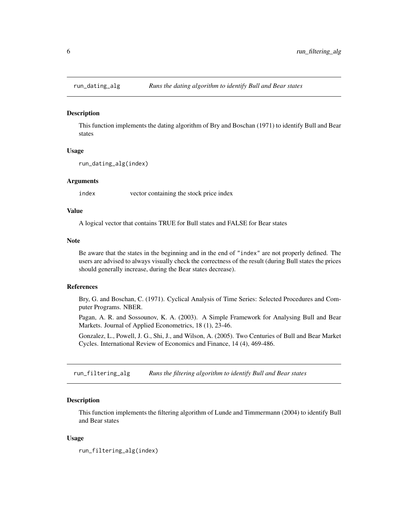<span id="page-5-1"></span><span id="page-5-0"></span>

#### Description

This function implements the dating algorithm of Bry and Boschan (1971) to identify Bull and Bear states

#### Usage

```
run_dating_alg(index)
```
#### Arguments

index vector containing the stock price index

#### Value

A logical vector that contains TRUE for Bull states and FALSE for Bear states

#### Note

Be aware that the states in the beginning and in the end of "index" are not properly defined. The users are advised to always visually check the correctness of the result (during Bull states the prices should generally increase, during the Bear states decrease).

#### References

Bry, G. and Boschan, C. (1971). Cyclical Analysis of Time Series: Selected Procedures and Computer Programs. NBER.

Pagan, A. R. and Sossounov, K. A. (2003). A Simple Framework for Analysing Bull and Bear Markets. Journal of Applied Econometrics, 18 (1), 23-46.

Gonzalez, L., Powell, J. G., Shi, J., and Wilson, A. (2005). Two Centuries of Bull and Bear Market Cycles. International Review of Economics and Finance, 14 (4), 469-486.

<span id="page-5-2"></span>run\_filtering\_alg *Runs the filtering algorithm to identify Bull and Bear states*

#### **Description**

This function implements the filtering algorithm of Lunde and Timmermann (2004) to identify Bull and Bear states

#### Usage

```
run_filtering_alg(index)
```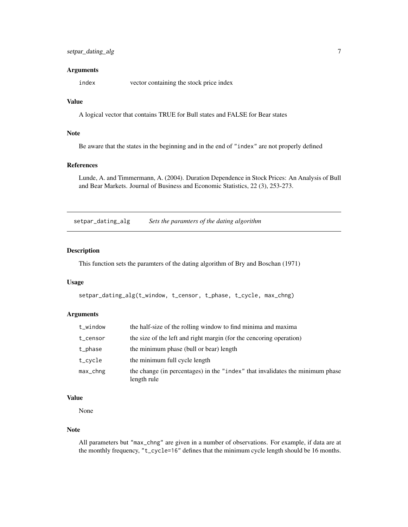#### <span id="page-6-0"></span>Arguments

index vector containing the stock price index

#### Value

A logical vector that contains TRUE for Bull states and FALSE for Bear states

#### Note

Be aware that the states in the beginning and in the end of "index" are not properly defined

#### References

Lunde, A. and Timmermann, A. (2004). Duration Dependence in Stock Prices: An Analysis of Bull and Bear Markets. Journal of Business and Economic Statistics, 22 (3), 253-273.

setpar\_dating\_alg *Sets the paramters of the dating algorithm*

#### Description

This function sets the paramters of the dating algorithm of Bry and Boschan (1971)

#### Usage

```
setpar_dating_alg(t_window, t_censor, t_phase, t_cycle, max_chng)
```
#### Arguments

| t_window       | the half-size of the rolling window to find minima and maxima                                |
|----------------|----------------------------------------------------------------------------------------------|
| t_censor       | the size of the left and right margin (for the cencoring operation)                          |
| t_phase        | the minimum phase (bull or bear) length                                                      |
| t_cycle        | the minimum full cycle length                                                                |
| $max_{c}$ chng | the change (in percentages) in the "index" that invalidates the minimum phase<br>length rule |

#### Value

None

#### Note

All parameters but "max\_chng" are given in a number of observations. For example, if data are at the monthly frequency, "t\_cycle=16" defines that the minimum cycle length should be 16 months.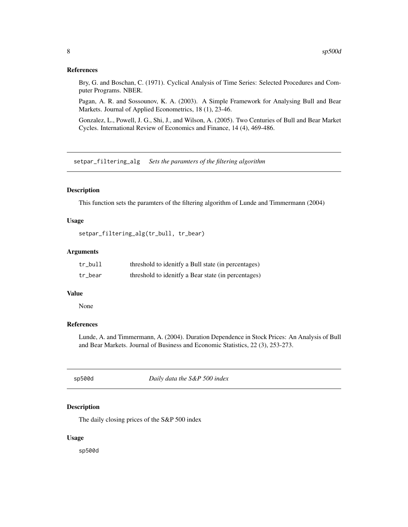#### <span id="page-7-0"></span>References

Bry, G. and Boschan, C. (1971). Cyclical Analysis of Time Series: Selected Procedures and Computer Programs. NBER.

Pagan, A. R. and Sossounov, K. A. (2003). A Simple Framework for Analysing Bull and Bear Markets. Journal of Applied Econometrics, 18 (1), 23-46.

Gonzalez, L., Powell, J. G., Shi, J., and Wilson, A. (2005). Two Centuries of Bull and Bear Market Cycles. International Review of Economics and Finance, 14 (4), 469-486.

setpar\_filtering\_alg *Sets the paramters of the filtering algorithm*

#### Description

This function sets the paramters of the filtering algorithm of Lunde and Timmermann (2004)

#### Usage

```
setpar_filtering_alg(tr_bull, tr_bear)
```
#### Arguments

| tr_bull | threshold to idenitfy a Bull state (in percentages) |
|---------|-----------------------------------------------------|
| tr bear | threshold to idenitfy a Bear state (in percentages) |

#### Value

None

#### References

Lunde, A. and Timmermann, A. (2004). Duration Dependence in Stock Prices: An Analysis of Bull and Bear Markets. Journal of Business and Economic Statistics, 22 (3), 253-273.

<span id="page-7-1"></span>

sp500d *Daily data the S&P 500 index*

#### Description

The daily closing prices of the S&P 500 index

#### Usage

sp500d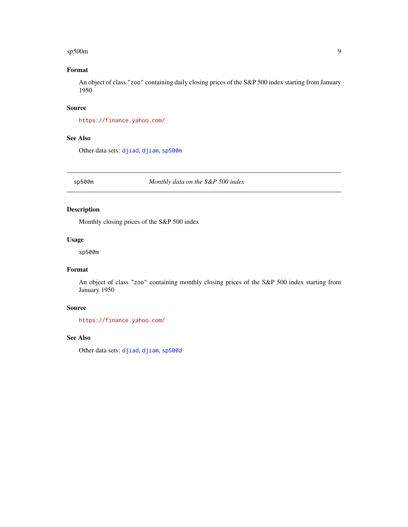#### <span id="page-8-0"></span>sp500m 9

#### Format

An object of class "zoo" containing daily closing prices of the S&P 500 index starting from January 1950

#### Source

<https://finance.yahoo.com/>

#### See Also

Other data sets: [djiad](#page-3-1), [djiam](#page-4-1), [sp500m](#page-8-1)

<span id="page-8-1"></span>sp500m *Monthly data on the S&P 500 index*

#### Description

Monthly closing prices of the S&P 500 index

#### Usage

sp500m

#### Format

An object of class "zoo" containing monthly closing prices of the S&P 500 index starting from January 1950

#### Source

<https://finance.yahoo.com/>

#### See Also

Other data sets: [djiad](#page-3-1), [djiam](#page-4-1), [sp500d](#page-7-1)